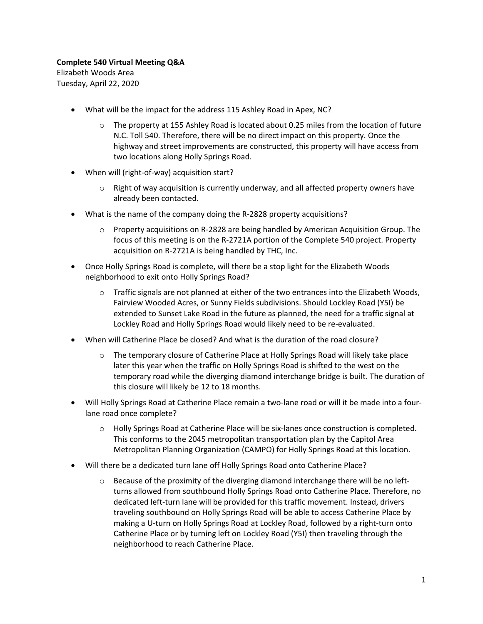## **Complete 540 Virtual Meeting Q&A**

Elizabeth Woods Area Tuesday, April 22, 2020

- What will be the impact for the address 115 Ashley Road in Apex, NC?
	- $\circ$  The property at 155 Ashley Road is located about 0.25 miles from the location of future N.C. Toll 540. Therefore, there will be no direct impact on this property. Once the highway and street improvements are constructed, this property will have access from two locations along Holly Springs Road.
- When will (right-of-way) acquisition start?
	- $\circ$  Right of way acquisition is currently underway, and all affected property owners have already been contacted.
- What is the name of the company doing the R-2828 property acquisitions?
	- o Property acquisitions on R-2828 are being handled by American Acquisition Group. The focus of this meeting is on the R-2721A portion of the Complete 540 project. Property acquisition on R-2721A is being handled by THC, Inc.
- Once Holly Springs Road is complete, will there be a stop light for the Elizabeth Woods neighborhood to exit onto Holly Springs Road?
	- $\circ$  Traffic signals are not planned at either of the two entrances into the Elizabeth Woods, Fairview Wooded Acres, or Sunny Fields subdivisions. Should Lockley Road (Y5I) be extended to Sunset Lake Road in the future as planned, the need for a traffic signal at Lockley Road and Holly Springs Road would likely need to be re-evaluated.
- When will Catherine Place be closed? And what is the duration of the road closure?
	- o The temporary closure of Catherine Place at Holly Springs Road will likely take place later this year when the traffic on Holly Springs Road is shifted to the west on the temporary road while the diverging diamond interchange bridge is built. The duration of this closure will likely be 12 to 18 months.
- Will Holly Springs Road at Catherine Place remain a two-lane road or will it be made into a fourlane road once complete?
	- o Holly Springs Road at Catherine Place will be six-lanes once construction is completed. This conforms to the 2045 metropolitan transportation plan by the Capitol Area Metropolitan Planning Organization (CAMPO) for Holly Springs Road at this location.
- Will there be a dedicated turn lane off Holly Springs Road onto Catherine Place?
	- $\circ$  Because of the proximity of the diverging diamond interchange there will be no leftturns allowed from southbound Holly Springs Road onto Catherine Place. Therefore, no dedicated left-turn lane will be provided for this traffic movement. Instead, drivers traveling southbound on Holly Springs Road will be able to access Catherine Place by making a U-turn on Holly Springs Road at Lockley Road, followed by a right-turn onto Catherine Place or by turning left on Lockley Road (Y5I) then traveling through the neighborhood to reach Catherine Place.